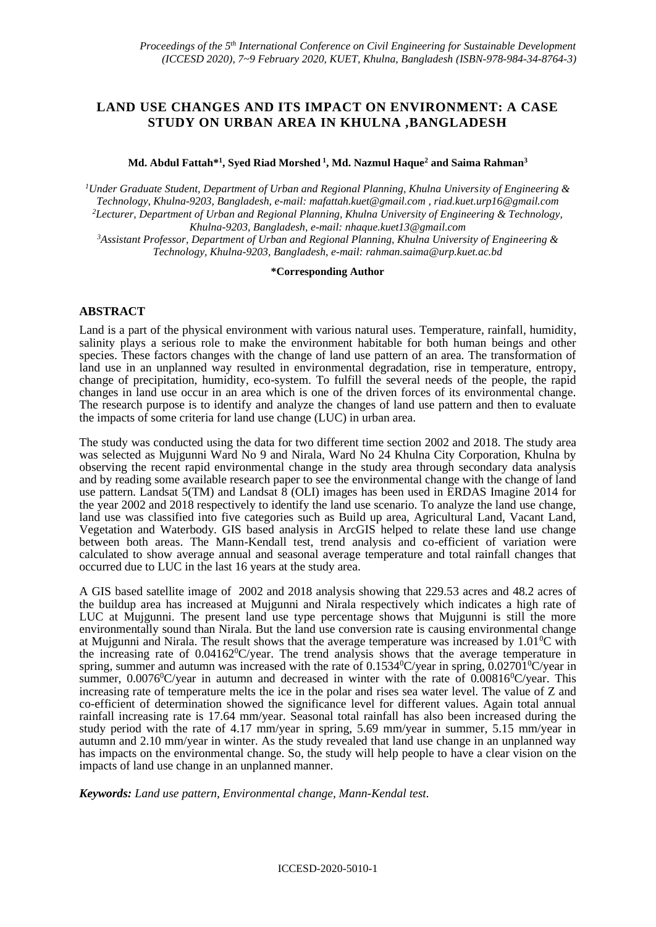# **LAND USE CHANGES AND ITS IMPACT ON ENVIRONMENT: A CASE STUDY ON URBAN AREA IN KHULNA ,BANGLADESH**

#### **Md. Abdul Fattah\*<sup>1</sup> , Syed Riad Morshed <sup>1</sup> , Md. Nazmul Haque<sup>2</sup> and Saima Rahman<sup>3</sup>**

*<sup>1</sup>Under Graduate Student, Department of Urban and Regional Planning, Khulna University of Engineering & Technology, Khulna-9203, Bangladesh, e-mail: [mafattah.kuet@gmail.com](mailto:mafattah.kuet@gmail.com) , [riad.kuet.urp16@gmail.com](mailto:riad.kuet.urp16@gmail.com) <sup>2</sup>Lecturer, Department of Urban and Regional Planning, Khulna University of Engineering & Technology, Khulna-9203, Bangladesh, e-mail[: nhaque.kuet13@gmail.com](mailto:nhaque.kuet13@gmail.com)*

*<sup>3</sup>Assistant Professor, Department of Urban and Regional Planning, Khulna University of Engineering & Technology, Khulna-9203, Bangladesh, e-mail: [rahman.saima@urp.kuet.ac.bd](mailto:rahman.saima@urp.kuet.ac.bd)*

#### **\*Corresponding Author**

## **ABSTRACT**

Land is a part of the physical environment with various natural uses. Temperature, rainfall, humidity, salinity plays a serious role to make the environment habitable for both human beings and other species. These factors changes with the change of land use pattern of an area. The transformation of land use in an unplanned way resulted in environmental degradation, rise in temperature, entropy, change of precipitation, humidity, eco-system. To fulfill the several needs of the people, the rapid changes in land use occur in an area which is one of the driven forces of its environmental change. The research purpose is to identify and analyze the changes of land use pattern and then to evaluate the impacts of some criteria for land use change (LUC) in urban area.

The study was conducted using the data for two different time section 2002 and 2018. The study area was selected as Mujgunni Ward No 9 and Nirala, Ward No 24 Khulna City Corporation, Khulna by observing the recent rapid environmental change in the study area through secondary data analysis and by reading some available research paper to see the environmental change with the change of land use pattern. Landsat 5(TM) and Landsat 8 (OLI) images has been used in ERDAS Imagine 2014 for the year 2002 and 2018 respectively to identify the land use scenario. To analyze the land use change, land use was classified into five categories such as Build up area, Agricultural Land, Vacant Land, Vegetation and Waterbody. GIS based analysis in ArcGIS helped to relate these land use change between both areas. The Mann-Kendall test, trend analysis and co-efficient of variation were calculated to show average annual and seasonal average temperature and total rainfall changes that occurred due to LUC in the last 16 years at the study area.

A GIS based satellite image of 2002 and 2018 analysis showing that 229.53 acres and 48.2 acres of the buildup area has increased at Mujgunni and Nirala respectively which indicates a high rate of LUC at Mujgunni. The present land use type percentage shows that Mujgunni is still the more environmentally sound than Nirala. But the land use conversion rate is causing environmental change at Mujgunni and Nirala. The result shows that the average temperature was increased by  $1.01\textdegree C$  with the increasing rate of  $0.04162^{\circ}$ C/year. The trend analysis shows that the average temperature in spring, summer and autumn was increased with the rate of  $0.1534^{\circ}C/\text{year}$  in spring,  $0.02701^{\circ}C/\text{year}$  in summer,  $0.0076^{\circ}$ C/year in autumn and decreased in winter with the rate of  $0.00816^{\circ}$ C/year. This increasing rate of temperature melts the ice in the polar and rises sea water level. The value of Z and co-efficient of determination showed the significance level for different values. Again total annual rainfall increasing rate is 17.64 mm/year. Seasonal total rainfall has also been increased during the study period with the rate of 4.17 mm/year in spring, 5.69 mm/year in summer, 5.15 mm/year in autumn and 2.10 mm/year in winter. As the study revealed that land use change in an unplanned way has impacts on the environmental change. So, the study will help people to have a clear vision on the impacts of land use change in an unplanned manner.

*Keywords: Land use pattern, Environmental change, Mann-Kendal test.*

ICCESD-2020-5010-1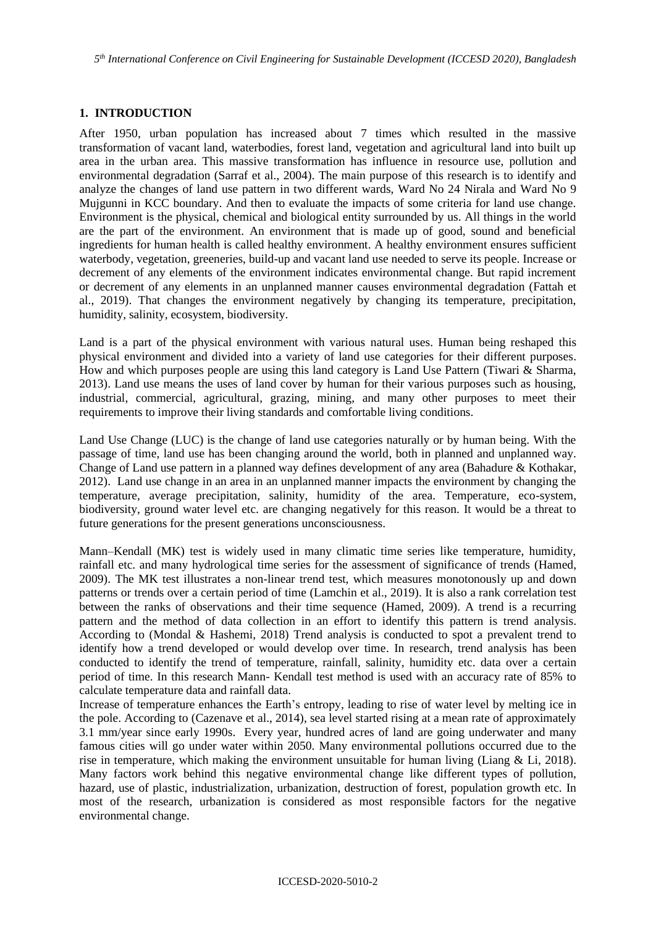*5 th International Conference on Civil Engineering for Sustainable Development (ICCESD 2020), Bangladesh*

# **1. INTRODUCTION**

After 1950, urban population has increased about 7 times which resulted in the massive transformation of vacant land, waterbodies, forest land, vegetation and agricultural land into built up area in the urban area. This massive transformation has influence in resource use, pollution and environmental degradation (Sarraf et al., 2004). The main purpose of this research is to identify and analyze the changes of land use pattern in two different wards, Ward No 24 Nirala and Ward No 9 Mujgunni in KCC boundary. And then to evaluate the impacts of some criteria for land use change. Environment is the physical, chemical and biological entity surrounded by us. All things in the world are the part of the environment. An environment that is made up of good, sound and beneficial ingredients for human health is called healthy environment. A healthy environment ensures sufficient waterbody, vegetation, greeneries, build-up and vacant land use needed to serve its people. Increase or decrement of any elements of the environment indicates environmental change. But rapid increment or decrement of any elements in an unplanned manner causes environmental degradation (Fattah et al., 2019). That changes the environment negatively by changing its temperature, precipitation, humidity, salinity, ecosystem, biodiversity.

Land is a part of the physical environment with various natural uses. Human being reshaped this physical environment and divided into a variety of land use categories for their different purposes. How and which purposes people are using this land category is Land Use Pattern (Tiwari  $\&$  Sharma, 2013). Land use means the uses of land cover by human for their various purposes such as housing, industrial, commercial, agricultural, grazing, mining, and many other purposes to meet their requirements to improve their living standards and comfortable living conditions.

Land Use Change (LUC) is the change of land use categories naturally or by human being. With the passage of time, land use has been changing around the world, both in planned and unplanned way. Change of Land use pattern in a planned way defines development of any area (Bahadure & Kothakar, 2012). Land use change in an area in an unplanned manner impacts the environment by changing the temperature, average precipitation, salinity, humidity of the area. Temperature, eco-system, biodiversity, ground water level etc. are changing negatively for this reason. It would be a threat to future generations for the present generations unconsciousness.

Mann–Kendall (MK) test is widely used in many climatic time series like temperature, humidity, rainfall etc. and many hydrological time series for the assessment of significance of trends (Hamed, 2009). The MK test illustrates a non-linear trend test, which measures monotonously up and down patterns or trends over a certain period of time (Lamchin et al., 2019). It is also a rank correlation test between the ranks of observations and their time sequence (Hamed, 2009). A trend is a recurring pattern and the method of data collection in an effort to identify this pattern is trend analysis. According to (Mondal & Hashemi, 2018) Trend analysis is conducted to spot a prevalent trend to identify how a trend developed or would develop over time. In research, trend analysis has been conducted to identify the trend of temperature, rainfall, salinity, humidity etc. data over a certain period of time. In this research Mann- Kendall test method is used with an accuracy rate of 85% to calculate temperature data and rainfall data.

Increase of temperature enhances the Earth's entropy, leading to rise of water level by melting ice in the pole. According to (Cazenave et al., 2014), sea level started rising at a mean rate of approximately 3.1 mm/year since early 1990s. Every year, hundred acres of land are going underwater and many famous cities will go under water within 2050. Many environmental pollutions occurred due to the rise in temperature, which making the environment unsuitable for human living (Liang  $&$  Li, 2018). Many factors work behind this negative environmental change like different types of pollution, hazard, use of plastic, industrialization, urbanization, destruction of forest, population growth etc. In most of the research, urbanization is considered as most responsible factors for the negative environmental change.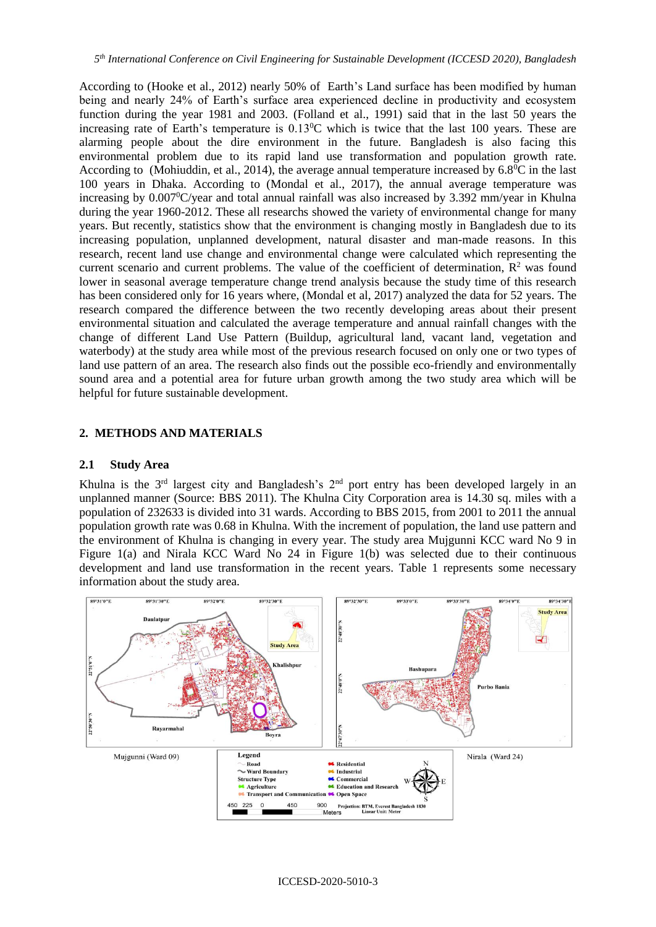According to (Hooke et al., 2012) nearly 50% of Earth's Land surface has been modified by human being and nearly 24% of Earth's surface area experienced decline in productivity and ecosystem function during the year 1981 and 2003. (Folland et al., 1991) said that in the last 50 years the increasing rate of Earth's temperature is  $0.13\text{°C}$  which is twice that the last 100 years. These are alarming people about the dire environment in the future. Bangladesh is also facing this environmental problem due to its rapid land use transformation and population growth rate. According to (Mohiuddin, et al., 2014), the average annual temperature increased by  $6.8^{\circ}\text{C}$  in the last 100 years in Dhaka. According to (Mondal et al., 2017), the annual average temperature was increasing by  $0.007^{\circ}$ C/year and total annual rainfall was also increased by 3.392 mm/year in Khulna during the year 1960-2012. These all researchs showed the variety of environmental change for many years. But recently, statistics show that the environment is changing mostly in Bangladesh due to its increasing population, unplanned development, natural disaster and man-made reasons. In this research, recent land use change and environmental change were calculated which representing the current scenario and current problems. The value of the coefficient of determination,  $\mathbb{R}^2$  was found lower in seasonal average temperature change trend analysis because the study time of this research has been considered only for 16 years where, (Mondal et al, 2017) analyzed the data for 52 years. The research compared the difference between the two recently developing areas about their present environmental situation and calculated the average temperature and annual rainfall changes with the change of different Land Use Pattern (Buildup, agricultural land, vacant land, vegetation and waterbody) at the study area while most of the previous research focused on only one or two types of land use pattern of an area. The research also finds out the possible eco-friendly and environmentally sound area and a potential area for future urban growth among the two study area which will be helpful for future sustainable development.

## **2. METHODS AND MATERIALS**

# **2.1 Study Area**

Khulna is the  $3<sup>rd</sup>$  largest city and Bangladesh's  $2<sup>nd</sup>$  port entry has been developed largely in an unplanned manner (Source: BBS 2011). The Khulna City Corporation area is 14.30 sq. miles with a population of 232633 is divided into 31 wards. According to BBS 2015, from 2001 to 2011 the annual population growth rate was 0.68 in Khulna. With the increment of population, the land use pattern and the environment of Khulna is changing in every year. The study area Mujgunni KCC ward No 9 in Figure 1(a) and Nirala KCC Ward No 24 in Figure 1(b) was selected due to their continuous development and land use transformation in the recent years. Table 1 represents some necessary information about the study area.

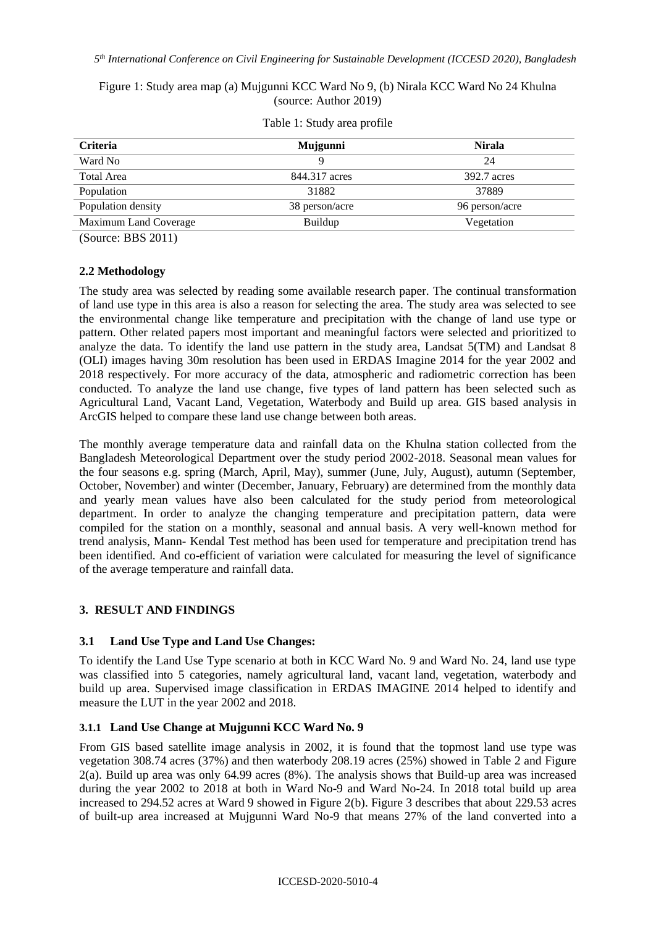*5 th International Conference on Civil Engineering for Sustainable Development (ICCESD 2020), Bangladesh*

Figure 1: Study area map (a) Mujgunni KCC Ward No 9, (b) Nirala KCC Ward No 24 Khulna (source: Author 2019)

| <b>Criteria</b>       | Mujgunni       | <b>Nirala</b>  |  |
|-----------------------|----------------|----------------|--|
| Ward No               |                | 24             |  |
| Total Area            | 844.317 acres  | 392.7 acres    |  |
| Population            | 31882          | 37889          |  |
| Population density    | 38 person/acre | 96 person/acre |  |
| Maximum Land Coverage | Buildup        | Vegetation     |  |
|                       |                |                |  |

Table 1: Study area profile

(Source: BBS 2011)

## **2.2 Methodology**

The study area was selected by reading some available research paper. The continual transformation of land use type in this area is also a reason for selecting the area. The study area was selected to see the environmental change like temperature and precipitation with the change of land use type or pattern. Other related papers most important and meaningful factors were selected and prioritized to analyze the data. To identify the land use pattern in the study area, Landsat 5(TM) and Landsat 8 (OLI) images having 30m resolution has been used in ERDAS Imagine 2014 for the year 2002 and 2018 respectively. For more accuracy of the data, atmospheric and radiometric correction has been conducted. To analyze the land use change, five types of land pattern has been selected such as Agricultural Land, Vacant Land, Vegetation, Waterbody and Build up area. GIS based analysis in ArcGIS helped to compare these land use change between both areas.

The monthly average temperature data and rainfall data on the Khulna station collected from the Bangladesh Meteorological Department over the study period 2002-2018. Seasonal mean values for the four seasons e.g. spring (March, April, May), summer (June, July, August), autumn (September, October, November) and winter (December, January, February) are determined from the monthly data and yearly mean values have also been calculated for the study period from meteorological department. In order to analyze the changing temperature and precipitation pattern, data were compiled for the station on a monthly, seasonal and annual basis. A very well-known method for trend analysis, Mann- Kendal Test method has been used for temperature and precipitation trend has been identified. And co-efficient of variation were calculated for measuring the level of significance of the average temperature and rainfall data.

# **3. RESULT AND FINDINGS**

## **3.1 Land Use Type and Land Use Changes:**

To identify the Land Use Type scenario at both in KCC Ward No. 9 and Ward No. 24, land use type was classified into 5 categories, namely agricultural land, vacant land, vegetation, waterbody and build up area. Supervised image classification in ERDAS IMAGINE 2014 helped to identify and measure the LUT in the year 2002 and 2018.

## **3.1.1 Land Use Change at Mujgunni KCC Ward No. 9**

From GIS based satellite image analysis in 2002, it is found that the topmost land use type was vegetation 308.74 acres (37%) and then waterbody 208.19 acres (25%) showed in Table 2 and Figure 2(a). Build up area was only 64.99 acres (8%). The analysis shows that Build-up area was increased during the year 2002 to 2018 at both in Ward No-9 and Ward No-24. In 2018 total build up area increased to 294.52 acres at Ward 9 showed in Figure 2(b). Figure 3 describes that about 229.53 acres of built-up area increased at Mujgunni Ward No-9 that means 27% of the land converted into a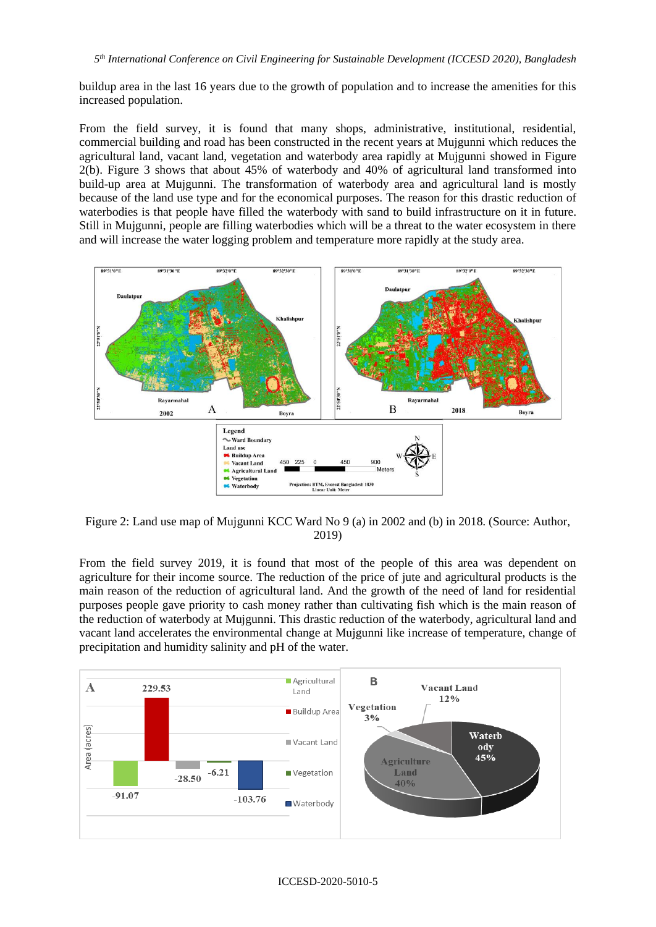buildup area in the last 16 years due to the growth of population and to increase the amenities for this increased population.

From the field survey, it is found that many shops, administrative, institutional, residential, commercial building and road has been constructed in the recent years at Mujgunni which reduces the agricultural land, vacant land, vegetation and waterbody area rapidly at Mujgunni showed in Figure 2(b). Figure 3 shows that about 45% of waterbody and 40% of agricultural land transformed into build-up area at Mujgunni. The transformation of waterbody area and agricultural land is mostly because of the land use type and for the economical purposes. The reason for this drastic reduction of waterbodies is that people have filled the waterbody with sand to build infrastructure on it in future. Still in Mujgunni, people are filling waterbodies which will be a threat to the water ecosystem in there and will increase the water logging problem and temperature more rapidly at the study area.



Figure 2: Land use map of Mujgunni KCC Ward No 9 (a) in 2002 and (b) in 2018. (Source: Author, 2019)

From the field survey 2019, it is found that most of the people of this area was dependent on agriculture for their income source. The reduction of the price of jute and agricultural products is the main reason of the reduction of agricultural land. And the growth of the need of land for residential purposes people gave priority to cash money rather than cultivating fish which is the main reason of the reduction of waterbody at Mujgunni. This drastic reduction of the waterbody, agricultural land and vacant land accelerates the environmental change at Mujgunni like increase of temperature, change of precipitation and humidity salinity and pH of the water.

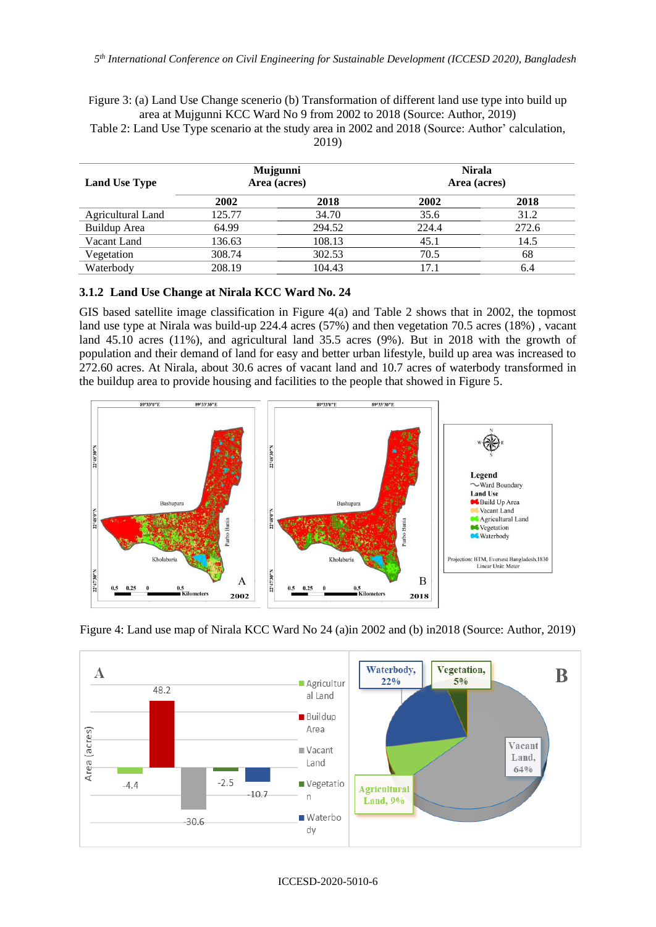Figure 3: (a) Land Use Change scenerio (b) Transformation of different land use type into build up area at Mujgunni KCC Ward No 9 from 2002 to 2018 (Source: Author, 2019)

Table 2: Land Use Type scenario at the study area in 2002 and 2018 (Source: Author' calculation, 2019)

| <b>Land Use Type</b>     | Mujgunni<br>Area (acres) |        | <b>Nirala</b><br>Area (acres) |       |
|--------------------------|--------------------------|--------|-------------------------------|-------|
|                          | 2002                     | 2018   | 2002                          | 2018  |
| <b>Agricultural Land</b> | 125.77                   | 34.70  | 35.6                          | 31.2  |
| Buildup Area             | 64.99                    | 294.52 | 224.4                         | 272.6 |
| Vacant Land              | 136.63                   | 108.13 | 45.1                          | 14.5  |
| Vegetation               | 308.74                   | 302.53 | 70.5                          | 68    |
| Waterbody                | 208.19                   | 104.43 | 17.1                          | 6.4   |

#### **3.1.2 Land Use Change at Nirala KCC Ward No. 24**

GIS based satellite image classification in Figure 4(a) and Table 2 shows that in 2002, the topmost land use type at Nirala was build-up 224.4 acres (57%) and then vegetation 70.5 acres (18%) , vacant land 45.10 acres (11%), and agricultural land 35.5 acres (9%). But in 2018 with the growth of population and their demand of land for easy and better urban lifestyle, build up area was increased to 272.60 acres. At Nirala, about 30.6 acres of vacant land and 10.7 acres of waterbody transformed in the buildup area to provide housing and facilities to the people that showed in Figure 5.



Figure 4: Land use map of Nirala KCC Ward No 24 (a)in 2002 and (b) in2018 (Source: Author, 2019)

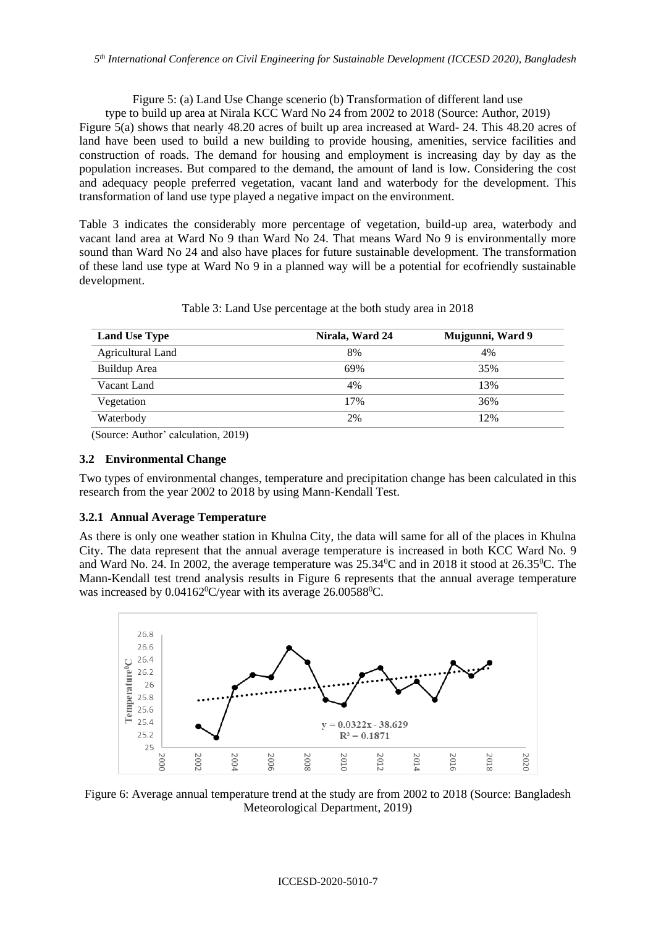Figure 5: (a) Land Use Change scenerio (b) Transformation of different land use

type to build up area at Nirala KCC Ward No 24 from 2002 to 2018 (Source: Author, 2019)

Figure 5(a) shows that nearly 48.20 acres of built up area increased at Ward- 24. This 48.20 acres of land have been used to build a new building to provide housing, amenities, service facilities and construction of roads. The demand for housing and employment is increasing day by day as the population increases. But compared to the demand, the amount of land is low. Considering the cost and adequacy people preferred vegetation, vacant land and waterbody for the development. This transformation of land use type played a negative impact on the environment.

Table 3 indicates the considerably more percentage of vegetation, build-up area, waterbody and vacant land area at Ward No 9 than Ward No 24. That means Ward No 9 is environmentally more sound than Ward No 24 and also have places for future sustainable development. The transformation of these land use type at Ward No 9 in a planned way will be a potential for ecofriendly sustainable development.

| Nirala, Ward 24 | Mujgunni, Ward 9 |
|-----------------|------------------|
| 8%              | 4%               |
| 69%             | 35%              |
| 4%              | 13%              |
| 17%             | 36%              |
| 2%              | 12%              |
|                 |                  |

Table 3: Land Use percentage at the both study area in 2018

(Source: Author' calculation, 2019)

#### **3.2 Environmental Change**

Two types of environmental changes, temperature and precipitation change has been calculated in this research from the year 2002 to 2018 by using Mann-Kendall Test.

## **3.2.1 Annual Average Temperature**

As there is only one weather station in Khulna City, the data will same for all of the places in Khulna City. The data represent that the annual average temperature is increased in both KCC Ward No. 9 and Ward No. 24. In 2002, the average temperature was  $25.34^{\circ}$ C and in 2018 it stood at  $26.35^{\circ}$ C. The Mann-Kendall test trend analysis results in Figure 6 represents that the annual average temperature was increased by  $0.04162^{\circ}$ C/year with its average 26.00588 $^{\circ}$ C.



Figure 6: Average annual temperature trend at the study are from 2002 to 2018 (Source: Bangladesh Meteorological Department, 2019)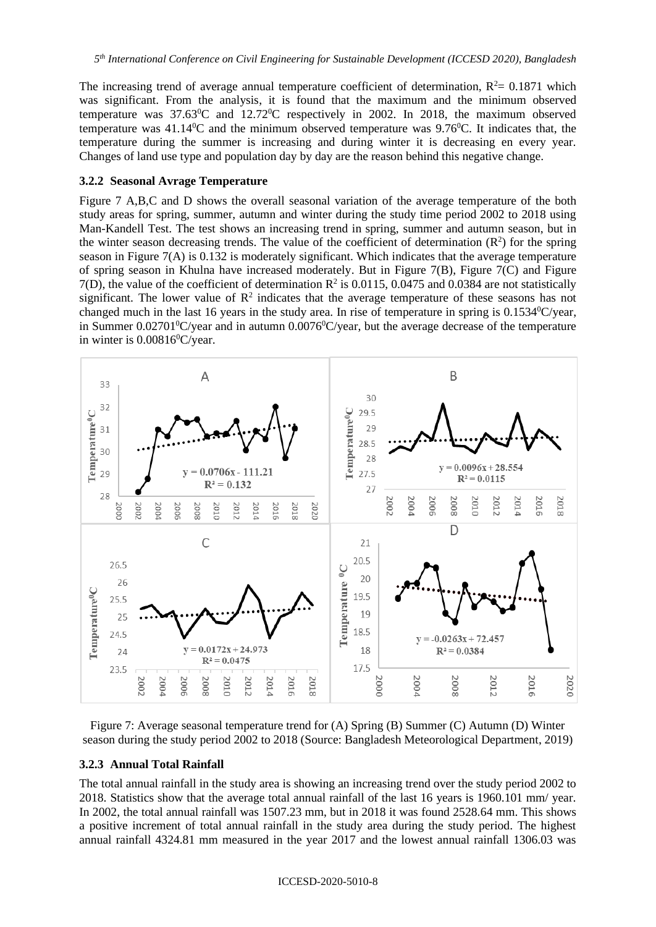The increasing trend of average annual temperature coefficient of determination,  $R<sup>2</sup>=0.1871$  which was significant. From the analysis, it is found that the maximum and the minimum observed temperature was  $37.63^{\circ}$ C and  $12.72^{\circ}$ C respectively in 2002. In 2018, the maximum observed temperature was  $41.14\textdegree$ C and the minimum observed temperature was  $9.76\textdegree$ C. It indicates that, the temperature during the summer is increasing and during winter it is decreasing en every year. Changes of land use type and population day by day are the reason behind this negative change.

#### **3.2.2 Seasonal Avrage Temperature**

Figure 7 A,B,C and D shows the overall seasonal variation of the average temperature of the both study areas for spring, summer, autumn and winter during the study time period 2002 to 2018 using Man-Kandell Test. The test shows an increasing trend in spring, summer and autumn season, but in the winter season decreasing trends. The value of the coefficient of determination  $(R^2)$  for the spring season in Figure 7(A) is 0.132 is moderately significant. Which indicates that the average temperature of spring season in Khulna have increased moderately. But in Figure 7(B), Figure 7(C) and Figure 7(D), the value of the coefficient of determination  $\mathbb{R}^2$  is 0.0115, 0.0475 and 0.0384 are not statistically significant. The lower value of  $\mathbb{R}^2$  indicates that the average temperature of these seasons has not changed much in the last 16 years in the study area. In rise of temperature in spring is 0.1534 °C/year, in Summer  $0.02701^0C/\text{year}$  and in autumn  $0.0076^0C/\text{year}$ , but the average decrease of the temperature in winter is  $0.00816^{\circ}$ C/year.



Figure 7: Average seasonal temperature trend for (A) Spring (B) Summer (C) Autumn (D) Winter season during the study period 2002 to 2018 (Source: Bangladesh Meteorological Department, 2019)

## **3.2.3 Annual Total Rainfall**

The total annual rainfall in the study area is showing an increasing trend over the study period 2002 to 2018. Statistics show that the average total annual rainfall of the last 16 years is 1960.101 mm/ year. In 2002, the total annual rainfall was 1507.23 mm, but in 2018 it was found 2528.64 mm. This shows a positive increment of total annual rainfall in the study area during the study period. The highest annual rainfall 4324.81 mm measured in the year 2017 and the lowest annual rainfall 1306.03 was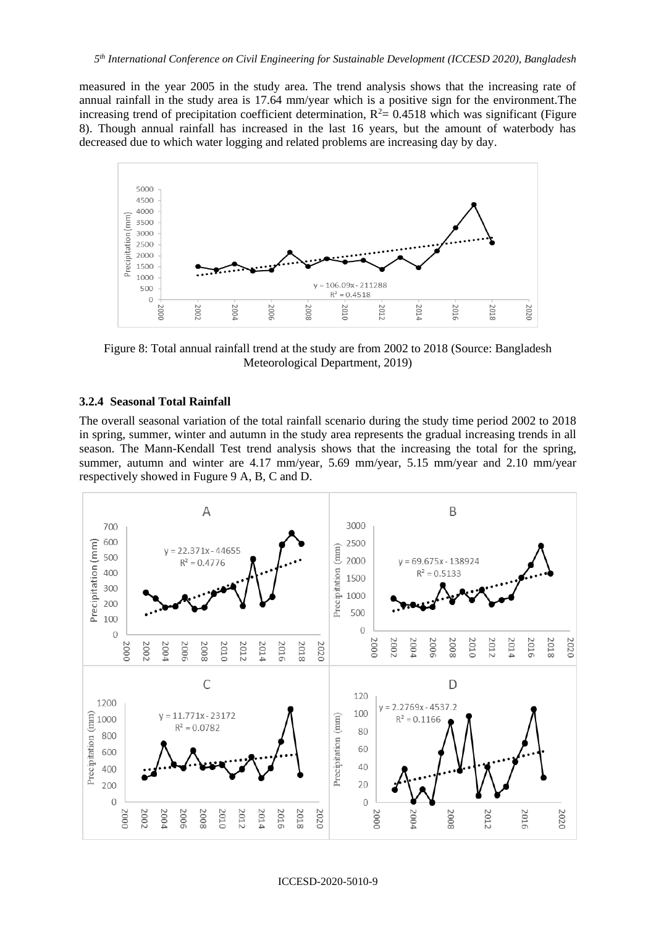measured in the year 2005 in the study area. The trend analysis shows that the increasing rate of annual rainfall in the study area is 17.64 mm/year which is a positive sign for the environment.The increasing trend of precipitation coefficient determination,  $R^2 = 0.4518$  which was significant (Figure 8). Though annual rainfall has increased in the last 16 years, but the amount of waterbody has decreased due to which water logging and related problems are increasing day by day.



Figure 8: Total annual rainfall trend at the study are from 2002 to 2018 (Source: Bangladesh Meteorological Department, 2019)

#### **3.2.4 Seasonal Total Rainfall**

The overall seasonal variation of the total rainfall scenario during the study time period 2002 to 2018 in spring, summer, winter and autumn in the study area represents the gradual increasing trends in all season. The Mann-Kendall Test trend analysis shows that the increasing the total for the spring, summer, autumn and winter are 4.17 mm/year, 5.69 mm/year, 5.15 mm/year and 2.10 mm/year respectively showed in Fugure 9 A, B, C and D.

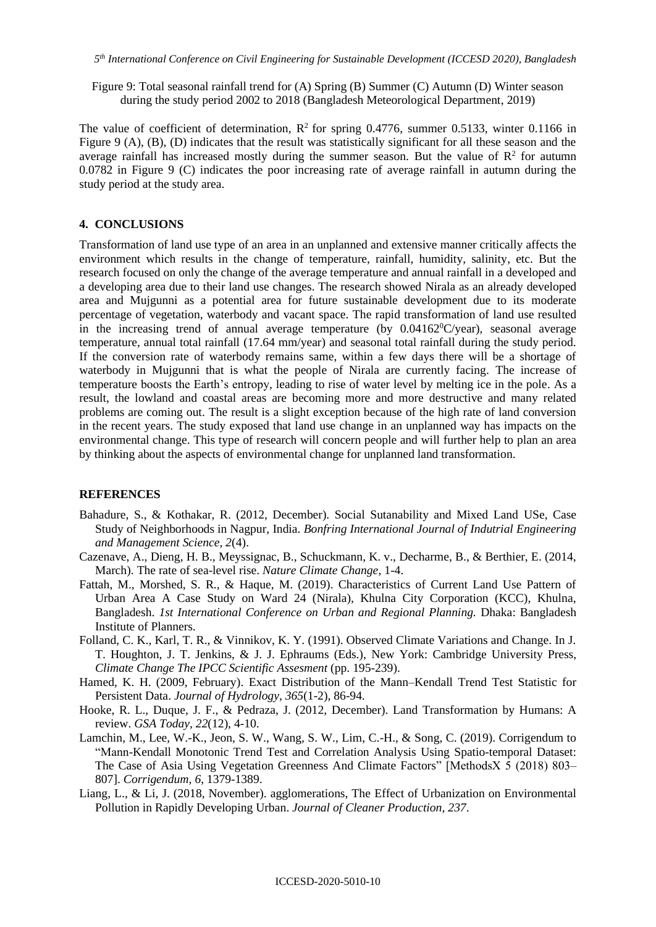Figure 9: Total seasonal rainfall trend for (A) Spring (B) Summer (C) Autumn (D) Winter season during the study period 2002 to 2018 (Bangladesh Meteorological Department, 2019)

The value of coefficient of determination,  $R^2$  for spring 0.4776, summer 0.5133, winter 0.1166 in Figure 9 (A), (B), (D) indicates that the result was statistically significant for all these season and the average rainfall has increased mostly during the summer season. But the value of  $\mathbb{R}^2$  for autumn 0.0782 in Figure 9 (C) indicates the poor increasing rate of average rainfall in autumn during the study period at the study area.

# **4. CONCLUSIONS**

Transformation of land use type of an area in an unplanned and extensive manner critically affects the environment which results in the change of temperature, rainfall, humidity, salinity, etc. But the research focused on only the change of the average temperature and annual rainfall in a developed and a developing area due to their land use changes. The research showed Nirala as an already developed area and Mujgunni as a potential area for future sustainable development due to its moderate percentage of vegetation, waterbody and vacant space. The rapid transformation of land use resulted in the increasing trend of annual average temperature (by  $0.04162^{\circ}$ C/year), seasonal average temperature, annual total rainfall (17.64 mm/year) and seasonal total rainfall during the study period. If the conversion rate of waterbody remains same, within a few days there will be a shortage of waterbody in Mujgunni that is what the people of Nirala are currently facing. The increase of temperature boosts the Earth's entropy, leading to rise of water level by melting ice in the pole. As a result, the lowland and coastal areas are becoming more and more destructive and many related problems are coming out. The result is a slight exception because of the high rate of land conversion in the recent years. The study exposed that land use change in an unplanned way has impacts on the environmental change. This type of research will concern people and will further help to plan an area by thinking about the aspects of environmental change for unplanned land transformation.

## **REFERENCES**

- Bahadure, S., & Kothakar, R. (2012, December). Social Sutanability and Mixed Land USe, Case Study of Neighborhoods in Nagpur, India. *Bonfring International Journal of Indutrial Engineering and Management Science, 2*(4).
- Cazenave, A., Dieng, H. B., Meyssignac, B., Schuckmann, K. v., Decharme, B., & Berthier, E. (2014, March). The rate of sea-level rise. *Nature Climate Change*, 1-4.
- Fattah, M., Morshed, S. R., & Haque, M. (2019). Characteristics of Current Land Use Pattern of Urban Area A Case Study on Ward 24 (Nirala), Khulna City Corporation (KCC), Khulna, Bangladesh. *1st International Conference on Urban and Regional Planning.* Dhaka: Bangladesh Institute of Planners.
- Folland, C. K., Karl, T. R., & Vinnikov, K. Y. (1991). Observed Climate Variations and Change. In J. T. Houghton, J. T. Jenkins, & J. J. Ephraums (Eds.), New York: Cambridge University Press, *Climate Change The IPCC Scientific Assesment* (pp. 195-239).
- Hamed, K. H. (2009, February). Exact Distribution of the Mann–Kendall Trend Test Statistic for Persistent Data. *Journal of Hydrology, 365*(1-2), 86-94.
- Hooke, R. L., Duque, J. F., & Pedraza, J. (2012, December). Land Transformation by Humans: A review. *GSA Today, 22*(12), 4-10.
- Lamchin, M., Lee, W.-K., Jeon, S. W., Wang, S. W., Lim, C.-H., & Song, C. (2019). Corrigendum to "Mann-Kendall Monotonic Trend Test and Correlation Analysis Using Spatio-temporal Dataset: The Case of Asia Using Vegetation Greenness And Climate Factors" [MethodsX 5 (2018) 803– 807]. *Corrigendum, 6*, 1379-1389.
- Liang, L., & Li, J. (2018, November). agglomerations, The Effect of Urbanization on Environmental Pollution in Rapidly Developing Urban. *Journal of Cleaner Production, 237*.